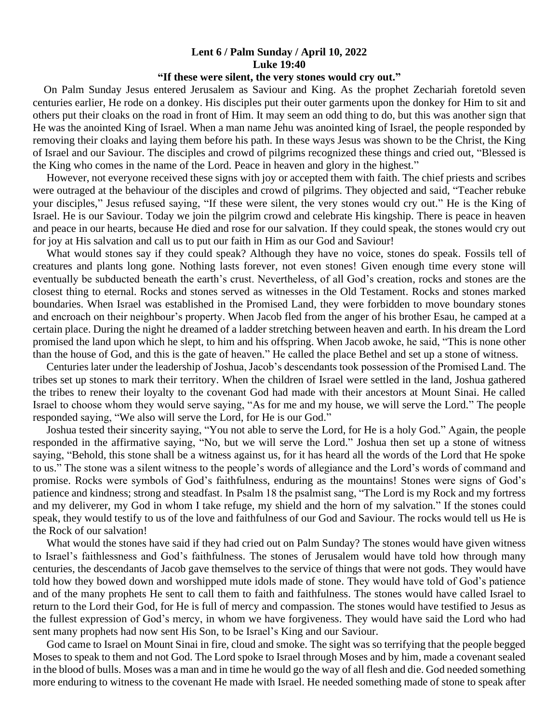## **Lent 6 / Palm Sunday / April 10, 2022 Luke 19:40**

## **"If these were silent, the very stones would cry out."**

 On Palm Sunday Jesus entered Jerusalem as Saviour and King. As the prophet Zechariah foretold seven centuries earlier, He rode on a donkey. His disciples put their outer garments upon the donkey for Him to sit and others put their cloaks on the road in front of Him. It may seem an odd thing to do, but this was another sign that He was the anointed King of Israel. When a man name Jehu was anointed king of Israel, the people responded by removing their cloaks and laying them before his path. In these ways Jesus was shown to be the Christ, the King of Israel and our Saviour. The disciples and crowd of pilgrims recognized these things and cried out, "Blessed is the King who comes in the name of the Lord. Peace in heaven and glory in the highest."

 However, not everyone received these signs with joy or accepted them with faith. The chief priests and scribes were outraged at the behaviour of the disciples and crowd of pilgrims. They objected and said, "Teacher rebuke your disciples," Jesus refused saying, "If these were silent, the very stones would cry out." He is the King of Israel. He is our Saviour. Today we join the pilgrim crowd and celebrate His kingship. There is peace in heaven and peace in our hearts, because He died and rose for our salvation. If they could speak, the stones would cry out for joy at His salvation and call us to put our faith in Him as our God and Saviour!

 What would stones say if they could speak? Although they have no voice, stones do speak. Fossils tell of creatures and plants long gone. Nothing lasts forever, not even stones! Given enough time every stone will eventually be subducted beneath the earth's crust. Nevertheless, of all God's creation, rocks and stones are the closest thing to eternal. Rocks and stones served as witnesses in the Old Testament. Rocks and stones marked boundaries. When Israel was established in the Promised Land, they were forbidden to move boundary stones and encroach on their neighbour's property. When Jacob fled from the anger of his brother Esau, he camped at a certain place. During the night he dreamed of a ladder stretching between heaven and earth. In his dream the Lord promised the land upon which he slept, to him and his offspring. When Jacob awoke, he said, "This is none other than the house of God, and this is the gate of heaven." He called the place Bethel and set up a stone of witness.

 Centuries later under the leadership of Joshua, Jacob's descendants took possession of the Promised Land. The tribes set up stones to mark their territory. When the children of Israel were settled in the land, Joshua gathered the tribes to renew their loyalty to the covenant God had made with their ancestors at Mount Sinai. He called Israel to choose whom they would serve saying, "As for me and my house, we will serve the Lord." The people responded saying, "We also will serve the Lord, for He is our God."

 Joshua tested their sincerity saying, "You not able to serve the Lord, for He is a holy God." Again, the people responded in the affirmative saying, "No, but we will serve the Lord." Joshua then set up a stone of witness saying, "Behold, this stone shall be a witness against us, for it has heard all the words of the Lord that He spoke to us." The stone was a silent witness to the people's words of allegiance and the Lord's words of command and promise. Rocks were symbols of God's faithfulness, enduring as the mountains! Stones were signs of God's patience and kindness; strong and steadfast. In Psalm 18 the psalmist sang, "The Lord is my Rock and my fortress and my deliverer, my God in whom I take refuge, my shield and the horn of my salvation." If the stones could speak, they would testify to us of the love and faithfulness of our God and Saviour. The rocks would tell us He is the Rock of our salvation!

 What would the stones have said if they had cried out on Palm Sunday? The stones would have given witness to Israel's faithlessness and God's faithfulness. The stones of Jerusalem would have told how through many centuries, the descendants of Jacob gave themselves to the service of things that were not gods. They would have told how they bowed down and worshipped mute idols made of stone. They would have told of God's patience and of the many prophets He sent to call them to faith and faithfulness. The stones would have called Israel to return to the Lord their God, for He is full of mercy and compassion. The stones would have testified to Jesus as the fullest expression of God's mercy, in whom we have forgiveness. They would have said the Lord who had sent many prophets had now sent His Son, to be Israel's King and our Saviour.

 God came to Israel on Mount Sinai in fire, cloud and smoke. The sight was so terrifying that the people begged Moses to speak to them and not God. The Lord spoke to Israel through Moses and by him, made a covenant sealed in the blood of bulls. Moses was a man and in time he would go the way of all flesh and die. God needed something more enduring to witness to the covenant He made with Israel. He needed something made of stone to speak after